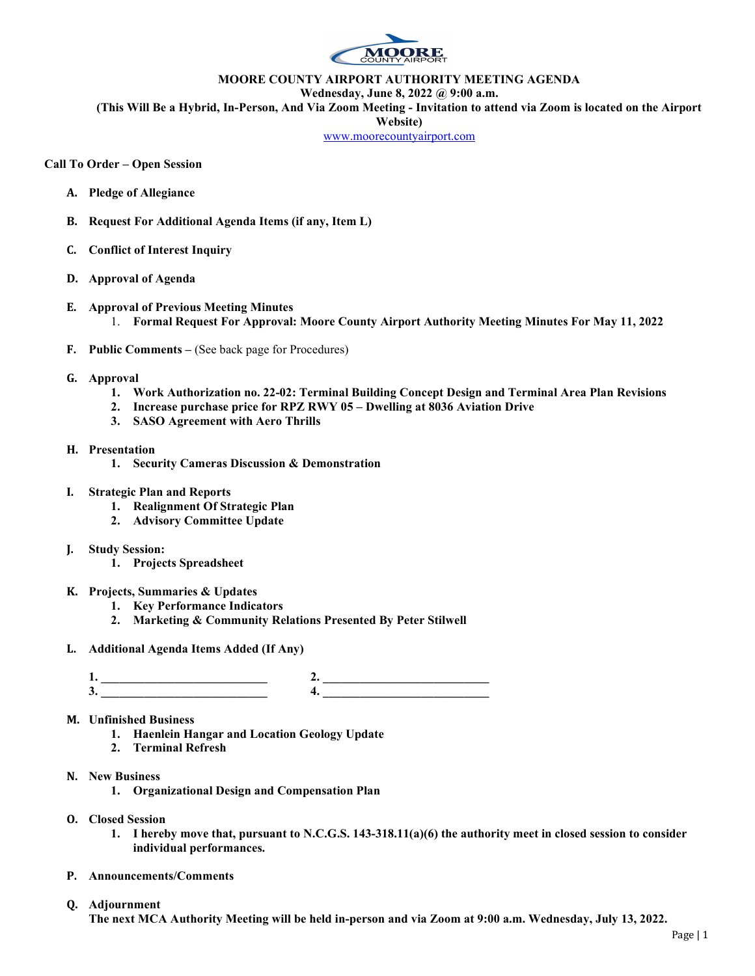

## MOORE COUNTY AIRPORT AUTHORITY MEETING AGENDA

Wednesday, June 8, 2022 @ 9:00 a.m.

(This Will Be a Hybrid, In-Person, And Via Zoom Meeting - Invitation to attend via Zoom is located on the Airport

Website)

www.moorecountyairport.com

## Call To Order – Open Session

- A. Pledge of Allegiance
- B. Request For Additional Agenda Items (if any, Item L)
- C. Conflict of Interest Inquiry
- D. Approval of Agenda
- E. Approval of Previous Meeting Minutes 1. Formal Request For Approval: Moore County Airport Authority Meeting Minutes For May 11, 2022
- F. Public Comments (See back page for Procedures)
- G. Approval
	- 1. Work Authorization no. 22-02: Terminal Building Concept Design and Terminal Area Plan Revisions
	- 2. Increase purchase price for RPZ RWY 05 Dwelling at 8036 Aviation Drive
	- 3. SASO Agreement with Aero Thrills
- H. Presentation
	- 1. Security Cameras Discussion & Demonstration
- I. Strategic Plan and Reports
	- 1. Realignment Of Strategic Plan
	- 2. Advisory Committee Update
- J. Study Session:
	- 1. Projects Spreadsheet
- K. Projects, Summaries & Updates
	- 1. Key Performance Indicators
	- 2. Marketing & Community Relations Presented By Peter Stilwell
- L. Additional Agenda Items Added (If Any)

1. \_\_\_\_\_\_\_\_\_\_\_\_\_\_\_\_\_\_\_\_\_\_\_\_\_\_\_ 2. \_\_\_\_\_\_\_\_\_\_\_\_\_\_\_\_\_\_\_\_\_\_\_\_\_\_\_  $3. \t\t 4.$ 

- M. Unfinished Business
	- 1. Haenlein Hangar and Location Geology Update
	- 2. Terminal Refresh
- N. New Business
	- 1. Organizational Design and Compensation Plan
- O. Closed Session
	- 1. I hereby move that, pursuant to N.C.G.S. 143-318.11(a)(6) the authority meet in closed session to consider individual performances.
- P. Announcements/Comments
- Q. Adjournment

The next MCA Authority Meeting will be held in-person and via Zoom at 9:00 a.m. Wednesday, July 13, 2022.